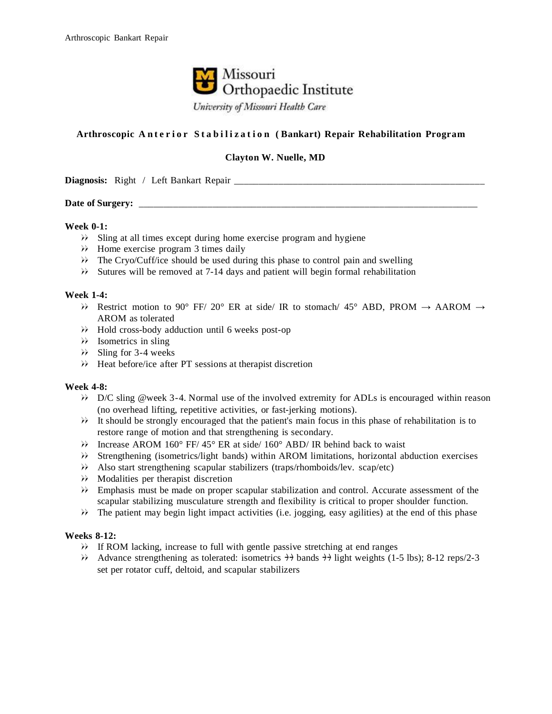

# **Arthroscopic A n t e r i o r S t a b i l i z a t i o n ( Bankart) Repair Rehabilitation Program**

# **Clayton W. Nuelle, MD**

**Diagnosis:** Right / Left Bankart Repair

### Date of Surgery:

#### **Week 0-1:**

- Sling at all times except during home exercise program and hygiene
- $\rightarrow$  Home exercise program 3 times daily
- The Cryo/Cuff/ice should be used during this phase to control pain and swelling
- Sutures will be removed at 7-14 days and patient will begin formal rehabilitation

### **Week 1-4:**

- Restrict motion to 90° FF/ 20° ER at side/ IR to stomach/ 45° ABD, PROM  $\rightarrow$  AAROM  $\rightarrow$ AROM as tolerated
- Hold cross-body adduction until 6 weeks post-op
- $\rightarrow$  Isometrics in sling
- $\aleph$  Sling for 3-4 weeks
- Heat before/ice after PT sessions at therapist discretion

#### **Week 4-8:**

- D/C sling @week 3-4. Normal use of the involved extremity for ADLs is encouraged within reason (no overhead lifting, repetitive activities, or fast-jerking motions).
- It should be strongly encouraged that the patient's main focus in this phase of rehabilitation is to restore range of motion and that strengthening is secondary.
- Increase AROM 160° FF/ 45° ER at side/ 160° ABD/ IR behind back to waist
- Strengthening (isometrics/light bands) within AROM limitations, horizontal abduction exercises
- Also start strengthening scapular stabilizers (traps/rhomboids/lev. scap/etc)
- Modalities per therapist discretion
- Emphasis must be made on proper scapular stabilization and control. Accurate assessment of the scapular stabilizing musculature strength and flexibility is critical to proper shoulder function.
- The patient may begin light impact activities (i.e. jogging, easy agilities) at the end of this phase

## **Weeks 8-12:**

- If ROM lacking, increase to full with gentle passive stretching at end ranges
- Advance strengthening as tolerated: isometrics  $\rightarrow$  bands  $\rightarrow$  light weights (1-5 lbs); 8-12 reps/2-3 set per rotator cuff, deltoid, and scapular stabilizers